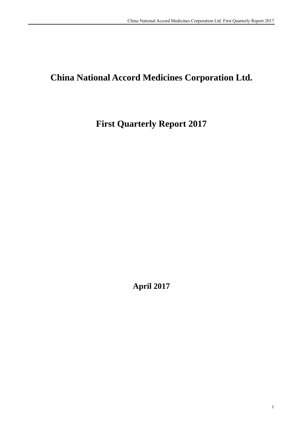# **China National Accord Medicines Corporation Ltd.**

# **First Quarterly Report 2017**

**April 2017**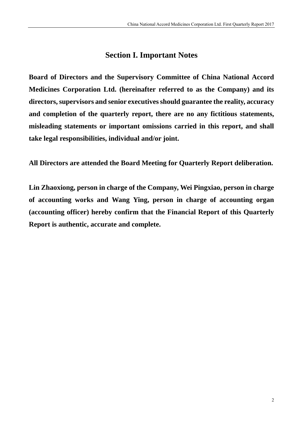# **Section I. Important Notes**

**Board of Directors and the Supervisory Committee of China National Accord Medicines Corporation Ltd. (hereinafter referred to as the Company) and its directors, supervisors and senior executives should guarantee the reality, accuracy and completion of the quarterly report, there are no any fictitious statements, misleading statements or important omissions carried in this report, and shall take legal responsibilities, individual and/or joint.** 

**All Directors are attended the Board Meeting for Quarterly Report deliberation.** 

**Lin Zhaoxiong, person in charge of the Company, Wei Pingxiao, person in charge of accounting works and Wang Ying, person in charge of accounting organ (accounting officer) hereby confirm that the Financial Report of this Quarterly Report is authentic, accurate and complete.**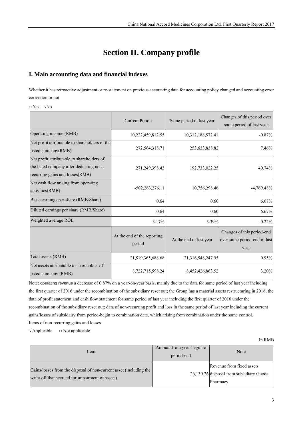# **Section II. Company profile**

## **I. Main accounting data and financial indexes**

Whether it has retroactive adjustment or re-statement on previous accounting data for accounting policy changed and accounting error correction or not

□ Yes √No

|                                                                                                                          | <b>Current Period</b>                 | Same period of last year | Changes of this period over<br>same period of last year            |
|--------------------------------------------------------------------------------------------------------------------------|---------------------------------------|--------------------------|--------------------------------------------------------------------|
| Operating income (RMB)                                                                                                   | 10,222,459,812.55                     | 10,312,188,572.41        | $-0.87%$                                                           |
| Net profit attributable to shareholders of the<br>listed company(RMB)                                                    | 272,564,318.71                        | 253,633,838.82           | 7.46%                                                              |
| Net profit attributable to shareholders of<br>the listed company after deducting non-<br>recurring gains and losses(RMB) | 271,249,398.43                        | 192,733,022.25           | 40.74%                                                             |
| Net cash flow arising from operating<br>activities(RMB)                                                                  | $-502,263,276.11$                     | 10,756,298.46            | $-4,769.48\%$                                                      |
| Basic earnings per share (RMB/Share)                                                                                     | 0.64                                  | 0.60                     | 6.67%                                                              |
| Diluted earnings per share (RMB/Share)                                                                                   | 0.64                                  | 0.60                     | 6.67%                                                              |
| Weighted average ROE                                                                                                     | 3.17%                                 | 3.39%                    | $-0.22%$                                                           |
|                                                                                                                          | At the end of the reporting<br>period | At the end of last year  | Changes of this period-end<br>over same period-end of last<br>year |
| Total assets (RMB)                                                                                                       | 21,519,365,688.68                     | 21,316,548,247.95        | 0.95%                                                              |
| Net assets attributable to shareholder of<br>listed company (RMB)                                                        | 8,722,715,598.24                      | 8,452,426,863.52         | 3.20%                                                              |

Note: operating revenue a decrease of 0.87% on a year-on-year basis, mainly due to the data for same period of last year including the first quarter of 2016 under the recombination of the subsidiary reset out; the Group has a material assets restructuring in 2016, the data of profit statement and cash flow statement for same period of last year including the first quarter of 2016 under the recombination of the subsidiary reset out; data of non-recurring profit and loss in the same period of last year including the current gains/losses of subsidairy from period-begin to combination date, which arising from combination under the same control. Items of non-recurring gains and losses

 $\sqrt{\text{Applied}}$   $\Box$  Not applicable

| Item                                                                                                                   | Amount from year-begin to<br>period-end | Note                                                                              |
|------------------------------------------------------------------------------------------------------------------------|-----------------------------------------|-----------------------------------------------------------------------------------|
| Gains/losses from the disposal of non-current asset (including the<br>write-off that accrued for impairment of assets) |                                         | Revenue from fixed assets<br>26,130.26 disposal from subsidiary Guoda<br>Pharmacy |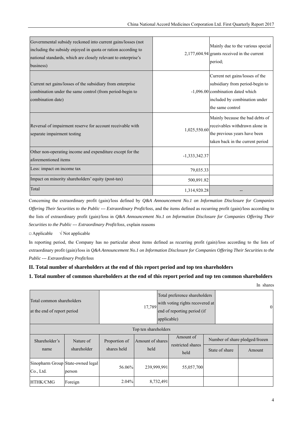| Governmental subsidy reckoned into current gains/losses (not<br>including the subsidy enjoyed in quota or ration according to<br>national standards, which are closely relevant to enterprise's<br>business) |                 | Mainly due to the various special<br>$2,177,604.94$ grants received in the current<br>period;                                                                |
|--------------------------------------------------------------------------------------------------------------------------------------------------------------------------------------------------------------|-----------------|--------------------------------------------------------------------------------------------------------------------------------------------------------------|
| Current net gains/losses of the subsidiary from enterprise<br>combination under the same control (from period-begin to<br>combination date)                                                                  |                 | Current net gains/losses of the<br>subsidiary from period-begin to<br>-1,096.00 combination dated which<br>included by combination under<br>the same control |
| Reversal of impairment reserve for account receivable with<br>separate impairment testing                                                                                                                    | 1,025,550.60    | Mainly because the bad debts of<br>receivables withdrawn alone in<br>the previous years have been<br>taken back in the current period                        |
| Other non-operating income and expenditure except for the<br>aforementioned items                                                                                                                            | $-1,333,342.37$ |                                                                                                                                                              |
| Less: impact on income tax                                                                                                                                                                                   | 79,035.33       |                                                                                                                                                              |
| Impact on minority shareholders' equity (post-tax)                                                                                                                                                           | 500,891.82      |                                                                                                                                                              |
| Total                                                                                                                                                                                                        | 1,314,920.28    |                                                                                                                                                              |

Concerning the extraordinary profit (gain)/loss defined by *Q&A Announcement No.1 on Information Disclosure for Companies Offering Their Securities to the Public --- Extraordinary Profit/loss*, and the items defined as recurring profit (gain)/loss according to the lists of extraordinary profit (gain)/loss in *Q&A Announcement No.1 on Information Disclosure for Companies Offering Their Securities to the Public --- Extraordinary Profit/loss*, explain reasons

 $\Box$  Applicable  $\sqrt{\phantom{a}}$  Not applicable

In reporting period, the Company has no particular about items defined as recurring profit (gain)/loss according to the lists of extraordinary profit (gain)/loss in *Q&A Announcement No.1 on Information Disclosure for Companies Offering Their Securities to the Public --- Extraordinary Profit/loss*

#### **II. Total number of shareholders at the end of this report period and top ten shareholders**

#### **1. Total number of common shareholders at the end of this report period and top ten common shareholders**

In shares

| Total common shareholders<br>at the end of report period |                                             | Total preference shareholders<br>with voting rights recovered at<br>17,789<br>end of reporting period (if<br>applicable) |                      |                           | $\Omega$       |                                |
|----------------------------------------------------------|---------------------------------------------|--------------------------------------------------------------------------------------------------------------------------|----------------------|---------------------------|----------------|--------------------------------|
|                                                          |                                             |                                                                                                                          | Top ten shareholders |                           |                |                                |
| Shareholder's                                            | Nature of                                   | Proportion of                                                                                                            | Amount of shares     | Amount of                 |                | Number of share pledged/frozen |
| name                                                     | shareholder                                 | shares held                                                                                                              | held                 | restricted shares<br>held | State of share | Amount                         |
| Co., Ltd.                                                | Sinopharm Group State-owned legal<br>person | 56.06%                                                                                                                   | 239,999,991          | 55,057,700                |                |                                |
| HTHK/CMG                                                 | Foreign                                     | 2.04%                                                                                                                    | 8,732,491            |                           |                |                                |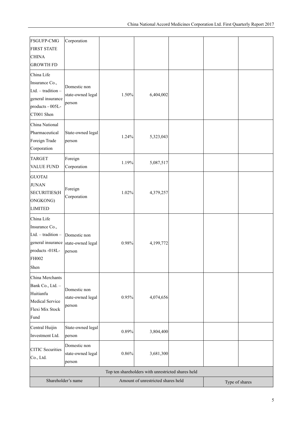| <b>FSGUFP-CMG</b><br><b>FIRST STATE</b><br><b>CHINA</b><br><b>GROWTH FD</b>                                 | Corporation                                                   |          |                                    |  |                |
|-------------------------------------------------------------------------------------------------------------|---------------------------------------------------------------|----------|------------------------------------|--|----------------|
| China Life<br>Insurance Co.,<br>$Ltd. - tradition -$<br>general insurance<br>products - 005L-<br>CT001 Shen | Domestic non<br>state-owned legal<br>person                   | 1.50%    | 6,404,002                          |  |                |
| China National<br>Pharmaceutical<br>Foreign Trade<br>Corporation                                            | State-owned legal<br>person                                   | 1.24%    | 5,323,043                          |  |                |
| <b>TARGET</b><br>VALUE FUND                                                                                 | Foreign<br>Corporation                                        | 1.19%    | 5,087,517                          |  |                |
| <b>GUOTAI</b><br><b>JUNAN</b><br><b>SECURITIES(H</b><br>ONGKONG)<br><b>LIMITED</b>                          | Foreign<br>Corporation                                        | 1.02%    | 4,379,257                          |  |                |
| China Life<br>Insurance Co.,<br>Ltd. $-$ tradition $-$<br>products -018L-<br>FH002<br>Shen                  | Domestic non<br>general insurance state-owned legal<br>person | 0.98%    | 4,199,772                          |  |                |
| China Merchants<br>Bank Co., Ltd. -<br>Huitianfu<br><b>Medical Service</b><br>Flexi Mix Stock<br>Fund       | Domestic non<br>state-owned legal<br>person                   | 0.95%    | 4,074,656                          |  |                |
| Central Huijin<br>Investment Ltd.                                                                           | State-owned legal<br>person                                   | 0.89%    | 3,804,400                          |  |                |
| <b>CITIC</b> Securities<br>Co., Ltd.                                                                        | Domestic non<br>state-owned legal<br>person                   | $0.86\%$ | 3,681,300                          |  |                |
|                                                                                                             | Top ten shareholders with unrestricted shares held            |          |                                    |  |                |
|                                                                                                             | Shareholder's name                                            |          | Amount of unrestricted shares held |  | Type of shares |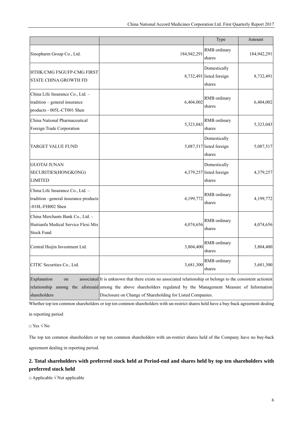|                                                                                                 |                                                                                                                                                                                                                                                                             | Type                                               | Amount      |
|-------------------------------------------------------------------------------------------------|-----------------------------------------------------------------------------------------------------------------------------------------------------------------------------------------------------------------------------------------------------------------------------|----------------------------------------------------|-------------|
| Sinopharm Group Co., Ltd.                                                                       | 184,942,291                                                                                                                                                                                                                                                                 | RMB ordinary<br>shares                             | 184,942,291 |
| HTHK/CMG FSGUFP-CMG FIRST<br><b>STATE CHINA GROWTH FD</b>                                       |                                                                                                                                                                                                                                                                             | Domestically<br>8,732,491 listed foreign<br>shares | 8,732,491   |
| China Life Insurance Co., Ltd. -<br>tradition - general insurance<br>products - 005L-CT001 Shen | 6,404,002                                                                                                                                                                                                                                                                   | RMB ordinary<br>shares                             | 6,404,002   |
| China National Pharmaceutical<br>Foreign Trade Corporation                                      | 5,323,043                                                                                                                                                                                                                                                                   | RMB ordinary<br>shares                             | 5,323,043   |
| TARGET VALUE FUND                                                                               |                                                                                                                                                                                                                                                                             | Domestically<br>5,087,517 listed foreign<br>shares | 5,087,517   |
| <b>GUOTAI JUNAN</b><br>SECURITIES(HONGKONG)<br><b>LIMITED</b>                                   |                                                                                                                                                                                                                                                                             | Domestically<br>4,379,257 listed foreign<br>shares | 4,379,257   |
| China Life Insurance Co., Ltd. -<br>tradition -general insurance products<br>-018L-FH002 Shen   | 4,199,772                                                                                                                                                                                                                                                                   | RMB ordinary<br>shares                             | 4,199,772   |
| China Merchants Bank Co., Ltd. -<br>Huitianfu Medical Service Flexi Mix<br><b>Stock Fund</b>    | 4,074,656                                                                                                                                                                                                                                                                   | RMB ordinary<br>shares                             | 4,074,656   |
| Central Huijin Investment Ltd.                                                                  | 3,804,400                                                                                                                                                                                                                                                                   | RMB ordinary<br>shares                             | 3,804,400   |
| CITIC Securities Co., Ltd.                                                                      | 3,681,300                                                                                                                                                                                                                                                                   | RMB ordinary<br>shares                             | 3,681,300   |
| Explanation<br>on<br>relationship<br>among<br>shareholders                                      | associated It is unknown that there exists no associated relationship or belongs to the consistent actionist<br>the aforesaid among the above shareholders regulated by the Management Measure of Information<br>Disclosure on Change of Shareholding for Listed Companies. |                                                    |             |

Whether top ten common shareholders or top ten common shareholders with un-restrict shares held have a buy-back agreement dealing

in reporting period

□ Yes √ No

The top ten common shareholders or top ten common shareholders with un-restrict shares held of the Company have no buy-back agreement dealing in reporting period.

## **2. Total shareholders with preferred stock held at Period-end and shares held by top ten shareholders with preferred stock held**

□ Applicable √ Not applicable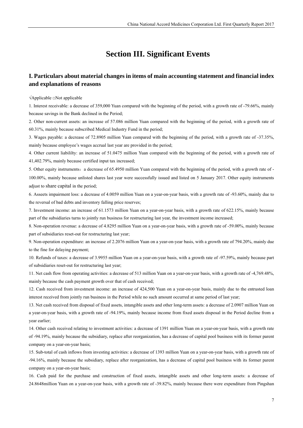# **Section III. Significant Events**

### **I. Particulars about material changes in items of main accounting statement and financial index and explanations of reasons**

√Applicable □Not applicable

1. Interest receivable: a decrease of 359,000 Yuan compared with the beginning of the period, with a growth rate of -79.66%, mainly because savings in the Bank declined in the Period;

2. Other non-current assets: an increase of 57.086 million Yuan compared with the beginning of the period, with a growth rate of 60.31%, mainly because subscribed Medical Industry Fund in the period;

3. Wages payable: a decrease of 72.8905 million Yuan compared with the beginning of the period, with a growth rate of -37.35%, mainly because employee's wages accrual last year are provided in the period;

4. Other current liabililty: an increase of 51.0475 million Yuan compared with the beginning of the period, with a growth rate of 41,402.79%, mainly because certified input tax increased;

5. Other equity instruments: a decrease of 65.4950 million Yuan compared with the beginning of the period, with a growth rate of -100.00%, mainly because unlisted shares last year were successfully issued and listed on 5 January 2017. Other equity instruments adjust to share capital in the period;

6. Asseets impairment loss: a decrease of 4.0059 million Yuan on a year-on-year basis, with a growth rate of -93.60%, mainly due to the reversal of bad debts and inventory falling price reserves;

7. Investment income: an increase of 61.1573 million Yuan on a year-on-year basis, with a growth rate of 622.15%, mainly because part of the subsidiaries turns to jointly run business for restructuring last year, the investment income increased;

8. Non-operation revenue: a decrease of 4.8295 million Yuan on a year-on-year basis, with a growth rate of -59.00%, mainly because part of subsidiaries reset-out for restructuring last year;

9. Non-operation expenditure: an increase of 2.2076 million Yuan on a year-on-year basis, with a growth rate of 794.20%, mainly due to the fine for delaying payment;

10. Refunds of taxes: a decrease of 3.9955 million Yuan on a year-on-year basis, with a growth rate of -97.59%, mainly because part of subsidiaries reset-out for restructuring last year;

11. Net cash flow from operating activities: a decrease of 513 million Yuan on a year-on-year basis, with a growth rate of -4,769.48%, mainly because the cash payment growth over that of cash received;

12. Cash received from investment income: an increase of 424,500 Yuan on a year-on-year basis, mainly due to the entrusted loan interest received from jointly run business in the Period while no such amount occurred at same period of last year;

13. Net cash received from disposal of fixed assets, intangible assets and other long-term assets: a decrease of 2.0907 million Yuan on a year-on-year basis, with a growth rate of -94.19%, mainly because income from fixed assets disposal in the Period decline from a year earlier;

14. Other cash received relating to investment activities: a decrease of 1391 million Yuan on a year-on-year basis, with a growth rate of -94.19%, mainly because the subsidiary, replace after reorganization, has a decrease of capital pool business with its former parent company on a year-on-year basis;

15. Sub-total of cash inflows from investing activities: a decrease of 1393 million Yuan on a year-on-year basis, with a growth rate of -94.16%, mainly because the subsidiary, replace after reorganization, has a decrease of capital pool business with its former parent company on a year-on-year basis;

16. Cash paid for the purchase and construction of fixed assets, intangible assets and other long-term assets: a decrease of 24.8648million Yuan on a year-on-year basis, with a growth rate of -39.82%, mainly because there were expenditure from Pingshan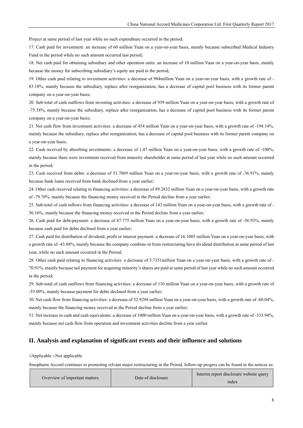Project at same period of last year while no such expenditure occurred in the period;

17. Cash paid for investment: an increase of 60 million Yuan on a year-on-year basis, mainly because subscribed Medical Industry Fund in the period while no such amount occurred last period;

18. Net cash paid for obtaining subsidiary and other operation units: an increase of 10 million Yuan on a year-on-year basis, mainly because the money for subscribing subsidiary's equity are paid in the period;

19. Other cash paid relating to investment activities: a decrease of 984million Yuan on a year-on-year basis, with a growth rate of -

83.18%, mainly because the subsidiary, replace after reorganization, has a decrease of capital pool business with its former parent company on a year-on-year basis;

20. Sub-total of cash outflows from investing activities: a decrease of 939 million Yuan on a year-on-year basis, with a growth rate of -75.38%, mainly because the subsidiary, replace after reorganization, has a decrease of capital pool business with its former parent company on a year-on-year basis;

21. Net cash flow from investment activities: a decrease of 454 million Yuan on a year-on-year basis, with a growth rate of -194.14%, mainly because the subsidiary, replace after reorganization, has a decrease of capital pool business with its former parent company on a year-on-year basis;

22. Cash received by absorbing investments: a decrease of 1.47 million Yuan on a year-on-year basis, with a growth rate of -100%, mainly because there were investment received from minority shareholder at same period of last year while no such amount occurred in the period;

23. Cash received from debts: a decrease of 51.7869 million Yuan on a year-on-year basis, with a growth rate of -36.91%, mainly because bank loans received from bank declined from a year earlier;

24. Other cash received relating to financing activities: a decrease of 89.2832 million Yuan on a year-on-year basis, with a growth rate of -79.70%, mainly because the financing money received in the Period decline from a year earlier;

25. Sub-total of cash inflows from financing activities: a decrease of 143 million Yuan on a year-on-year basis, with a growth rate of - 56.16%, mainly because the financing money received in the Period decline from a year earlier;

26. Cash paid for debt-payment: a decrease of 87.775 million Yuan on a year-on-year basis, with a growth rate of -56.93%, mainly because cash paid for debts declined from a year earlier;

27. Cash paid for distribution of dividend, profit or interest payment: a decrease of 16.1005 million Yuan on a year-on-year basis, with a growth rate of -43.88%, mainly because the company combine-in from restructuring have dividend distribution at same period of last year, while no such amount occurred in the Period;

28. Other cash paid relating to financing activities: a decrease of 5.7351million Yuan on a year-on-year basis, with a growth rate of - 70.91%, mainly because tail payment for acquiring minority's shares are paid at same period of last year while no such amount occurred in the period;

29. Sub-total of cash outflows from financing activities: a decrease of 110 million Yuan on a year-on-year basis, with a growth rate of -55.09%, mainly because payment for debts declined from a year earlier;

30. Net cash flow from financing activities: a decrease of 32.9294 million Yuan on a year-on-year basis, with a growth rate of -60.04%, mainly because the financing money received in the Period decline from a year earlier;

31. Net increase in cash and cash equivalents: a decrease of 1000 million Yuan on a year-on-year basis, with a growth rate of -333.94%, mainly because net cash flow from operation and investment activities decline from a year earlier.

#### **II. Analysis and explanation of significant events and their influence and solutions**

√Applicable □Not applicable

Sinopharm Accord continues to promoting relvant major restructuring in the Peirod, follow-up progres can be found in the notices as:

| Overview of important matters | Date of disclosure | Interim report disclosure website query |
|-------------------------------|--------------------|-----------------------------------------|
|                               |                    | index                                   |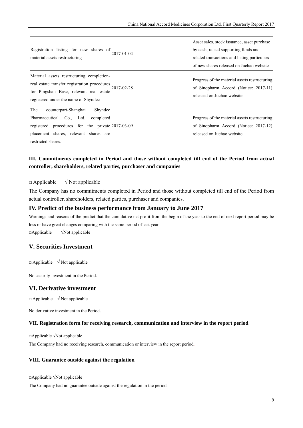| Registration listing for new shares of<br>material assets restructuring                                                                                                                         | 2017-01-04 | Asset sales, stock issuance, asset purchase<br>by cash, raised supporting funds and<br>related transactions and listing particulars<br>of new shares released on Juchao website |
|-------------------------------------------------------------------------------------------------------------------------------------------------------------------------------------------------|------------|---------------------------------------------------------------------------------------------------------------------------------------------------------------------------------|
| Material assets restructuring completion-<br>real estate transfer registration procedures<br>for Pingshan Base, relevant real estate<br>registered under the name of Shyndec                    | 2017-02-28 | Progress of the material assets restructuring<br>of Sinopharm Accord (Notice: 2017-11)<br>released on Juchao website                                                            |
| The<br>counterpart-Shanghai<br>Shyndec<br>Pharmaceutical Co., Ltd. completed<br>registered procedures for the private 2017-03-09<br>placement shares, relevant shares are<br>restricted shares. |            | Progress of the material assets restructuring<br>of Sinopharm Accord (Notice: 2017-12)<br>released on Juchao website                                                            |

## **III. Commitments completed in Period and those without completed till end of the Period from actual controller, shareholders, related parties, purchaser and companies**

#### $\Box$  Applicable  $\sqrt{\phantom{a}}$  Not applicable

The Company has no commitments completed in Period and those without completed till end of the Period from actual controller, shareholders, related parties, purchaser and companies.

#### **IV. Predict of the business performance from January to June 2017**

Warnings and reasons of the predict that the cumulative net profit from the begin of the year to the end of next report period may be loss or have great changes comparing with the same period of last year □Applicable √Not applicable

#### **V. Securities Investment**

 $\Box$  Applicable  $\sqrt{\phantom{a}}$  Not applicable

No security investment in the Period.

#### **VI. Derivative investment**

 $\Box$  Applicable  $\sqrt{\phantom{a}}$  Not applicable

No derivative investment in the Period.

#### **VII. Registration form for receiving research, communication and interview in the report period**

□Applicable √Not applicable

The Company had no receiving research, communication or interview in the report period.

#### **VIII. Guarantee outside against the regulation**

□Applicable √Not applicable

The Company had no guarantee outside against the regulation in the period.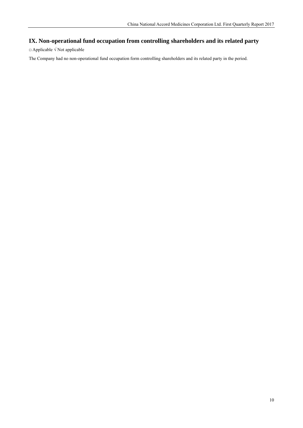# **IX. Non-operational fund occupation from controlling shareholders and its related party**

□ Applicable √ Not applicable

The Company had no non-operational fund occupation form controlling shareholders and its related party in the period.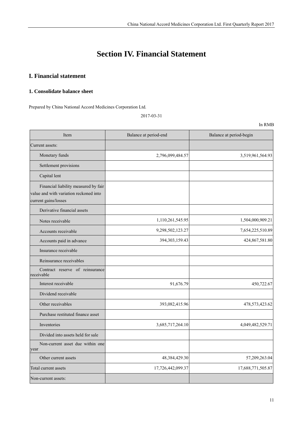# **Section IV. Financial Statement**

# **I. Financial statement**

#### **1. Consolidate balance sheet**

Prepared by China National Accord Medicines Corporation Ltd.

2017-03-31

| Item                                                                                                   | Balance at period-end | Balance at period-begin |
|--------------------------------------------------------------------------------------------------------|-----------------------|-------------------------|
| Current assets:                                                                                        |                       |                         |
| Monetary funds                                                                                         | 2,796,099,484.57      | 3,519,961,564.93        |
| Settlement provisions                                                                                  |                       |                         |
| Capital lent                                                                                           |                       |                         |
| Financial liability measured by fair<br>value and with variation reckoned into<br>current gains/losses |                       |                         |
| Derivative financial assets                                                                            |                       |                         |
| Notes receivable                                                                                       | 1,110,261,545.95      | 1,504,000,909.21        |
| Accounts receivable                                                                                    | 9,298,502,123.27      | 7,654,225,510.89        |
| Accounts paid in advance                                                                               | 394, 303, 159. 43     | 424,867,581.80          |
| Insurance receivable                                                                                   |                       |                         |
| Reinsurance receivables                                                                                |                       |                         |
| Contract reserve of reinsurance<br>receivable                                                          |                       |                         |
| Interest receivable                                                                                    | 91,676.79             | 450,722.67              |
| Dividend receivable                                                                                    |                       |                         |
| Other receivables                                                                                      | 393,082,415.96        | 478,573,423.62          |
| Purchase restituted finance asset                                                                      |                       |                         |
| Inventories                                                                                            | 3,685,717,264.10      | 4,049,482,529.71        |
| Divided into assets held for sale                                                                      |                       |                         |
| Non-current asset due within one<br>year                                                               |                       |                         |
| Other current assets                                                                                   | 48,384,429.30         | 57,209,263.04           |
| Total current assets                                                                                   | 17,726,442,099.37     | 17,688,771,505.87       |
| Non-current assets:                                                                                    |                       |                         |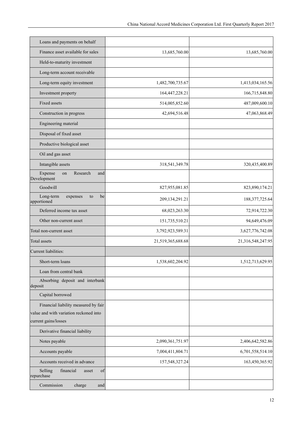| Loans and payments on behalf                      |                   |                   |
|---------------------------------------------------|-------------------|-------------------|
| Finance asset available for sales                 | 13,685,760.00     | 13,685,760.00     |
| Held-to-maturity investment                       |                   |                   |
| Long-term account receivable                      |                   |                   |
| Long-term equity investment                       | 1,482,700,735.67  | 1,413,034,165.56  |
| Investment property                               | 164,447,228.21    | 166,715,848.80    |
| Fixed assets                                      | 514,005,852.60    | 487,009,600.10    |
| Construction in progress                          | 42,694,516.48     | 47,063,868.49     |
| Engineering material                              |                   |                   |
| Disposal of fixed asset                           |                   |                   |
| Productive biological asset                       |                   |                   |
| Oil and gas asset                                 |                   |                   |
| Intangible assets                                 | 318,541,349.78    | 320,435,400.89    |
| Expense<br>Research<br>on<br>and<br>Development   |                   |                   |
| Goodwill                                          | 827,955,081.85    | 823,890,174.21    |
| Long-term<br>be<br>expenses<br>to<br>apportioned  | 209, 134, 291. 21 | 188, 377, 725.64  |
| Deferred income tax asset                         | 68,023,263.30     | 72,914,722.30     |
| Other non-current asset                           | 151,735,510.21    | 94,649,476.09     |
| Total non-current asset                           | 3,792,923,589.31  | 3,627,776,742.08  |
| Total assets                                      | 21,519,365,688.68 | 21,316,548,247.95 |
| Current liabilities:                              |                   |                   |
| Short-term loans                                  | 1,538,602,204.92  | 1,512,713,629.95  |
| Loan from central bank                            |                   |                   |
| Absorbing deposit and interbank<br>deposit        |                   |                   |
| Capital borrowed                                  |                   |                   |
| Financial liability measured by fair              |                   |                   |
| value and with variation reckoned into            |                   |                   |
| current gains/losses                              |                   |                   |
| Derivative financial liability                    |                   |                   |
| Notes payable                                     | 2,090,361,751.97  | 2,406,642,582.86  |
| Accounts payable                                  | 7,004,411,804.71  | 6,701,558,514.10  |
| Accounts received in advance                      | 157,548,327.24    | 163,450,365.92    |
| financial<br>Selling<br>of<br>asset<br>repurchase |                   |                   |
| Commission<br>charge<br>and                       |                   |                   |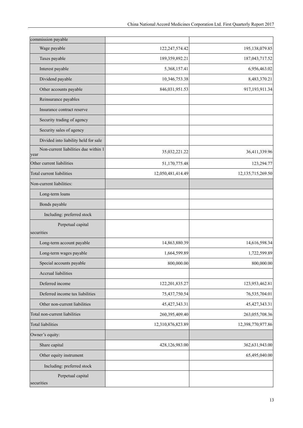| commission payable                           |                   |                      |
|----------------------------------------------|-------------------|----------------------|
| Wage payable                                 | 122,247,574.42    | 195,138,079.85       |
| Taxes payable                                | 189,359,892.21    | 187,043,717.52       |
| Interest payable                             | 5,368,157.41      | 6,956,463.02         |
| Dividend payable                             | 10,346,753.38     | 8,483,370.21         |
| Other accounts payable                       | 846,031,951.53    | 917,193,911.34       |
| Reinsurance payables                         |                   |                      |
| Insurance contract reserve                   |                   |                      |
| Security trading of agency                   |                   |                      |
| Security sales of agency                     |                   |                      |
| Divided into liability held for sale         |                   |                      |
| Non-current liabilities due within 1<br>year | 35,032,221.22     | 36,411,339.96        |
| Other current liabilities                    | 51,170,775.48     | 123,294.77           |
| Total current liabilities                    | 12,050,481,414.49 | 12, 135, 715, 269.50 |
| Non-current liabilities:                     |                   |                      |
| Long-term loans                              |                   |                      |
| Bonds payable                                |                   |                      |
| Including: preferred stock                   |                   |                      |
| Perpetual capital                            |                   |                      |
| securities                                   |                   |                      |
| Long-term account payable                    | 14,863,880.39     | 14,616,598.34        |
| Long-term wages payable                      | 1,664,599.89      | 1,722,599.89         |
| Special accounts payable                     | 800,000.00        | 800,000.00           |
| Accrual liabilities                          |                   |                      |
| Deferred income                              | 122,201,835.27    | 123,953,462.81       |
| Deferred income tax liabilities              | 75,437,750.54     | 76,535,704.01        |
| Other non-current liabilities                | 45, 427, 343. 31  | 45, 427, 343. 31     |
| Total non-current liabilities                | 260,395,409.40    | 263,055,708.36       |
| <b>Total liabilities</b>                     | 12,310,876,823.89 | 12,398,770,977.86    |
| Owner's equity:                              |                   |                      |
| Share capital                                | 428,126,983.00    | 362,631,943.00       |
| Other equity instrument                      |                   | 65,495,040.00        |
| Including: preferred stock                   |                   |                      |
| Perpetual capital<br>securities              |                   |                      |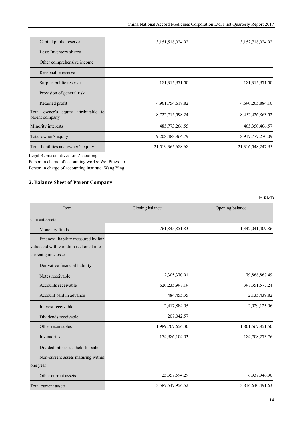| Capital public reserve                                    | 3,151,518,024.92  | 3,152,718,024.92  |
|-----------------------------------------------------------|-------------------|-------------------|
| Less: Inventory shares                                    |                   |                   |
| Other comprehensive income                                |                   |                   |
| Reasonable reserve                                        |                   |                   |
| Surplus public reserve                                    | 181, 315, 971.50  | 181, 315, 971.50  |
| Provision of general risk                                 |                   |                   |
| Retained profit                                           | 4,961,754,618.82  | 4,690,265,884.10  |
| attributable to<br>Total owner's equity<br>parent company | 8,722,715,598.24  | 8,452,426,863.52  |
| Minority interests                                        | 485,773,266.55    | 465,350,406.57    |
| Total owner's equity                                      | 9,208,488,864.79  | 8,917,777,270.09  |
| Total liabilities and owner's equity                      | 21,519,365,688.68 | 21,316,548,247.95 |

Legal Representative: Lin Zhaoxiong

Person in charge of accounting works: Wei Pingxiao Person in charge of accounting institute: Wang Ying

## **2. Balance Sheet of Parent Company**

| Item                                   | Closing balance  | Opening balance   |
|----------------------------------------|------------------|-------------------|
| Current assets:                        |                  |                   |
| Monetary funds                         | 761,845,851.83   | 1,342,041,409.86  |
| Financial liability measured by fair   |                  |                   |
| value and with variation reckoned into |                  |                   |
| current gains/losses                   |                  |                   |
| Derivative financial liability         |                  |                   |
| Notes receivable                       | 12,305,370.91    | 79,868,867.49     |
| Accounts receivable                    | 620,235,997.19   | 397, 351, 577. 24 |
| Account paid in advance                | 484,455.35       | 2,135,439.82      |
| Interest receivable                    | 2,417,884.05     | 2,029,125.06      |
| Dividends receivable                   | 207,042.57       |                   |
| Other receivables                      | 1,989,707,656.30 | 1,801,567,851.50  |
| Inventories                            | 174,986,104.03   | 184,708,273.76    |
| Divided into assets held for sale      |                  |                   |
| Non-current assets maturing within     |                  |                   |
| one year                               |                  |                   |
| Other current assets                   | 25,357,594.29    | 6,937,946.90      |
| Total current assets                   | 3,587,547,956.52 | 3,816,640,491.63  |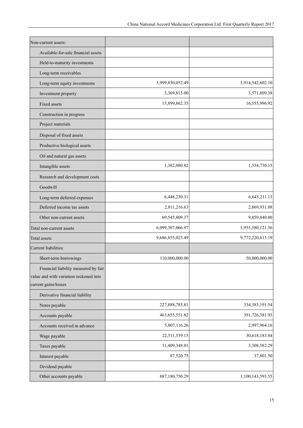| Non-current assets:                                                                                    |                  |                  |
|--------------------------------------------------------------------------------------------------------|------------------|------------------|
| Available-for-sale financial assets                                                                    |                  |                  |
| Held-to-maturity investments                                                                           |                  |                  |
| Long-term receivables                                                                                  |                  |                  |
| Long-term equity investments                                                                           | 5,999,850,052.49 | 5,914,542,602.10 |
| Investment property                                                                                    | 3,369,815.00     | 3,571,809.38     |
| <b>Fixed assets</b>                                                                                    | 15,899,862.35    | 16,555,996.92    |
| Construction in progress                                                                               |                  |                  |
| Project materials                                                                                      |                  |                  |
| Disposal of fixed assets                                                                               |                  |                  |
| Productive biological assets                                                                           |                  |                  |
| Oil and natural gas assets                                                                             |                  |                  |
| Intangible assets                                                                                      | 1,382,080.82     | 1,534,730.15     |
| Research and development costs                                                                         |                  |                  |
| Goodwill                                                                                               |                  |                  |
| Long-term deferred expenses                                                                            | 6,448,230.31     | 6,645,211.13     |
| Deferred income tax assets                                                                             | 2,811,216.63     | 2,869,931.88     |
| Other non-current assets                                                                               | 69,545,809.37    | 9,859,840.00     |
| Total non-current assets                                                                               | 6,099,307,066.97 | 5,955,580,121.56 |
| Total assets                                                                                           | 9,686,855,023.49 | 9,772,220,613.19 |
| Current liabilities:                                                                                   |                  |                  |
| Short-term borrowings                                                                                  | 110,000,000.00   | 50,000,000.00    |
| Financial liability measured by fair<br>value and with variation reckoned into<br>current gains/losses |                  |                  |
| Derivative financial liability                                                                         |                  |                  |
| Notes payable                                                                                          | 227,888,785.81   | 334, 383, 191.54 |
| Accounts payable                                                                                       | 463, 655, 551.82 | 391,726,381.93   |
| Accounts received in advance                                                                           | 5,807,116.26     | 2,997,964.16     |
| Wage payable                                                                                           | 22,511,539.15    | 30,618,183.84    |
| Taxes payable                                                                                          | 11,409,348.01    | 3,308,582.29     |
| Interest payable                                                                                       | 87,520.75        | 37,801.50        |
| Dividend payable                                                                                       |                  |                  |
| Other accounts payable                                                                                 | 887,180,750.29   | 1,100,143,593.55 |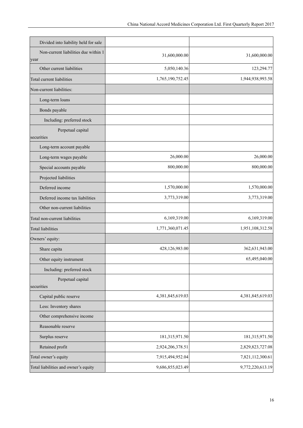| 31,600,000.00    | 31,600,000.00                    |
|------------------|----------------------------------|
|                  |                                  |
|                  | 123,294.77                       |
|                  | 1,944,938,993.58                 |
|                  |                                  |
|                  |                                  |
|                  |                                  |
|                  |                                  |
|                  |                                  |
|                  |                                  |
| 26,000.00        | 26,000.00                        |
| 800,000.00       | 800,000.00                       |
|                  |                                  |
| 1,570,000.00     | 1,570,000.00                     |
| 3,773,319.00     | 3,773,319.00                     |
|                  |                                  |
| 6,169,319.00     | 6,169,319.00                     |
| 1,771,360,071.45 | 1,951,108,312.58                 |
|                  |                                  |
| 428,126,983.00   | 362,631,943.00                   |
|                  | 65,495,040.00                    |
|                  |                                  |
|                  |                                  |
| 4,381,845,619.03 | 4,381,845,619.03                 |
|                  |                                  |
|                  |                                  |
|                  |                                  |
| 181,315,971.50   | 181,315,971.50                   |
| 2,924,206,378.51 | 2,829,823,727.08                 |
| 7,915,494,952.04 | 7,821,112,300.61                 |
| 9,686,855,023.49 | 9,772,220,613.19                 |
|                  | 5,050,140.36<br>1,765,190,752.45 |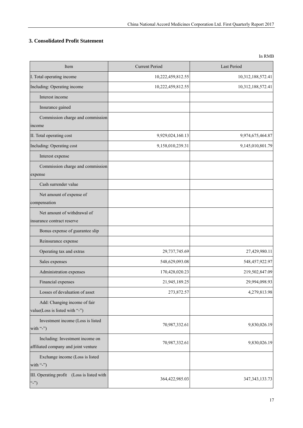### **3. Consolidated Profit Statement**

| Item                                                                    | <b>Current Period</b> | Last Period       |
|-------------------------------------------------------------------------|-----------------------|-------------------|
| I. Total operating income                                               | 10,222,459,812.55     | 10,312,188,572.41 |
| Including: Operating income                                             | 10,222,459,812.55     | 10,312,188,572.41 |
| Interest income                                                         |                       |                   |
| Insurance gained                                                        |                       |                   |
| Commission charge and commission<br>income                              |                       |                   |
| II. Total operating cost                                                | 9,929,024,160.13      | 9,974,675,464.87  |
| Including: Operating cost                                               | 9,158,010,239.31      | 9,145,010,801.79  |
| Interest expense                                                        |                       |                   |
| Commission charge and commission<br>expense                             |                       |                   |
| Cash surrender value                                                    |                       |                   |
| Net amount of expense of<br>compensation                                |                       |                   |
| Net amount of withdrawal of<br>insurance contract reserve               |                       |                   |
| Bonus expense of guarantee slip                                         |                       |                   |
| Reinsurance expense                                                     |                       |                   |
| Operating tax and extras                                                | 29,737,745.69         | 27,429,980.11     |
| Sales expenses                                                          | 548,629,093.08        | 548,457,922.97    |
| Administration expenses                                                 | 170,428,020.23        | 219,502,847.09    |
| Financial expenses                                                      | 21,945,189.25         | 29,994,098.93     |
| Losses of devaluation of asset                                          | 273,872.57            | 4,279,813.98      |
| Add: Changing income of fair<br>value(Loss is listed with "-")          |                       |                   |
| Investment income (Loss is listed<br>with "-")                          | 70,987,332.61         | 9,830,026.19      |
| Including: Investment income on<br>affiliated company and joint venture | 70,987,332.61         | 9,830,026.19      |
| Exchange income (Loss is listed<br>with "-")                            |                       |                   |
| III. Operating profit (Loss is listed with<br>$\left($ "-")             | 364,422,985.03        | 347, 343, 133. 73 |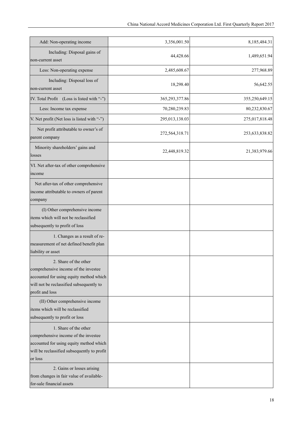| Add: Non-operating income                                                                                                                                                                        | 3,356,001.50   | 8,185,484.31   |
|--------------------------------------------------------------------------------------------------------------------------------------------------------------------------------------------------|----------------|----------------|
| Including: Disposal gains of<br>non-current asset                                                                                                                                                | 44,428.66      | 1,489,651.94   |
| Less: Non-operating expense                                                                                                                                                                      | 2,485,608.67   | 277,968.89     |
| Including: Disposal loss of<br>non-current asset                                                                                                                                                 | 18,298.40      | 56,642.55      |
| IV. Total Profit (Loss is listed with "-")                                                                                                                                                       | 365,293,377.86 | 355,250,649.15 |
| Less: Income tax expense                                                                                                                                                                         | 70,280,239.83  | 80,232,830.67  |
| V. Net profit (Net loss is listed with "-")                                                                                                                                                      | 295,013,138.03 | 275,017,818.48 |
| Net profit attributable to owner's of<br>parent company                                                                                                                                          | 272,564,318.71 | 253,633,838.82 |
| Minority shareholders' gains and<br>losses                                                                                                                                                       | 22,448,819.32  | 21,383,979.66  |
| VI. Net after-tax of other comprehensive<br>income                                                                                                                                               |                |                |
| Net after-tax of other comprehensive<br>income attributable to owners of parent<br>company                                                                                                       |                |                |
| (I) Other comprehensive income<br>items which will not be reclassified<br>subsequently to profit of loss                                                                                         |                |                |
| 1. Changes as a result of re-<br>measurement of net defined benefit plan<br>liability or asset                                                                                                   |                |                |
| 2. Share of the other<br>comprehensive income of the investee<br>accounted for using equity method which<br>will not be reclassified subsequently to<br>profit and loss                          |                |                |
| (II) Other comprehensive income<br>items which will be reclassified<br>subsequently to profit or loss                                                                                            |                |                |
| 1. Share of the other<br>comprehensive income of the investee<br>accounted for using equity method which<br>will be reclassified subsequently to profit<br>or loss<br>2. Gains or losses arising |                |                |
| from changes in fair value of available-<br>for-sale financial assets                                                                                                                            |                |                |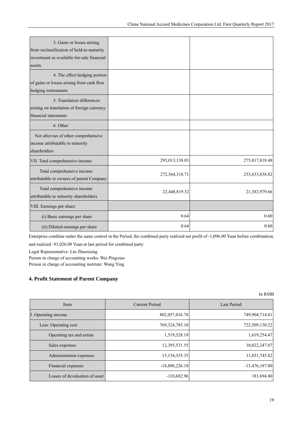| 3. Gains or losses arising                 |                |                |
|--------------------------------------------|----------------|----------------|
| from reclassification of held-to-maturity  |                |                |
| investment as available-for-sale financial |                |                |
| assets                                     |                |                |
| 4. The effect hedging portion              |                |                |
| of gains or losses arising from cash flow  |                |                |
| hedging instruments                        |                |                |
| 5. Translation differences                 |                |                |
| arising on translation of foreign currency |                |                |
| financial statements                       |                |                |
| 6. Other                                   |                |                |
| Net after-tax of other comprehensive       |                |                |
| income attributable to minority            |                |                |
| shareholders                               |                |                |
| VII. Total comprehensive income            | 295,013,138.03 | 275,017,818.48 |
| Total comprehensive income                 | 272,564,318.71 | 253,633,838.82 |
| attributable to owners of parent Company   |                |                |
| Total comprehensive income                 |                | 21,383,979.66  |
| attributable to minority shareholders      | 22,448,819.32  |                |
| VIII. Earnings per share:                  |                |                |
| (i) Basic earnings per share               | 0.64           | 0.60           |
| (ii) Diluted earnings per share            | 0.64           | 0.60           |

Enterprise combine under the same control in the Period, the combined party realized net profit of -1,096.00 Yuan before combination, and realized -91,026.08 Yuan at last period for combined party

Legal Representative: Lin Zhaoxiong

Person in charge of accounting works: Wei Pingxiao Person in charge of accounting institute: Wang Ying

#### **4. Profit Statement of Parent Company**

| Item                           | <b>Current Period</b> | Last Period      |
|--------------------------------|-----------------------|------------------|
| I. Operating income            | 802,057,016.78        | 749,904,714.81   |
| Less: Operating cost           | 769,324,785.10        | 722,509,130.22   |
| Operating tax and extras       | 1,519,528.19          | 1,619,254.47     |
| Sales expenses                 | 12,395,531.55         | 10,022,247.07    |
| Administration expenses        | 13,154,355.35         | 11,851,745.82    |
| Financial expenses             | $-18,888,226.18$      | $-15,476,187.80$ |
| Losses of devaluation of asset | $-110,682.96$         | 181,694.80       |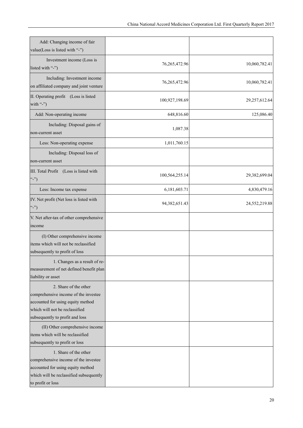| Add: Changing income of fair<br>value(Loss is listed with "-")                                                                                                          |                  |               |
|-------------------------------------------------------------------------------------------------------------------------------------------------------------------------|------------------|---------------|
| Investment income (Loss is<br>listed with "-")                                                                                                                          | 76,265,472.96    | 10,060,782.41 |
| Including: Investment income<br>on affiliated company and joint venture                                                                                                 | 76,265,472.96    | 10,060,782.41 |
| II. Operating profit (Loss is listed<br>with "-")                                                                                                                       | 100,927,198.69   | 29,257,612.64 |
| Add: Non-operating income                                                                                                                                               | 648,816.60       | 125,086.40    |
| Including: Disposal gains of<br>non-current asset                                                                                                                       | 1,087.38         |               |
| Less: Non-operating expense                                                                                                                                             | 1,011,760.15     |               |
| Including: Disposal loss of<br>non-current asset                                                                                                                        |                  |               |
| III. Total Profit (Loss is listed with<br>$\left($ "-")                                                                                                                 | 100,564,255.14   | 29,382,699.04 |
| Less: Income tax expense                                                                                                                                                | 6,181,603.71     | 4,830,479.16  |
| IV. Net profit (Net loss is listed with<br>$\left($ "-")                                                                                                                | 94, 382, 651. 43 | 24,552,219.88 |
| V. Net after-tax of other comprehensive<br>income                                                                                                                       |                  |               |
| (I) Other comprehensive income<br>items which will not be reclassified<br>subsequently to profit of loss                                                                |                  |               |
| 1. Changes as a result of re-<br>measurement of net defined benefit plan<br>liability or asset                                                                          |                  |               |
| 2. Share of the other<br>comprehensive income of the investee<br>accounted for using equity method<br>which will not be reclassified<br>subsequently to profit and loss |                  |               |
| (II) Other comprehensive income<br>items which will be reclassified<br>subsequently to profit or loss                                                                   |                  |               |
| 1. Share of the other<br>comprehensive income of the investee<br>accounted for using equity method<br>which will be reclassified subsequently<br>to profit or loss      |                  |               |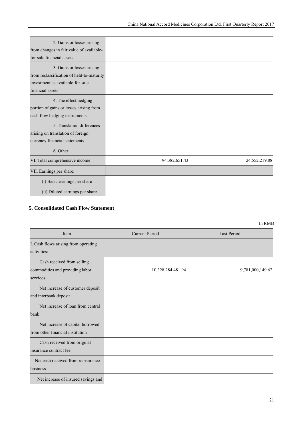| 2. Gains or losses arising<br>from changes in fair value of available-<br>for-sale financial assets                             |                  |               |
|---------------------------------------------------------------------------------------------------------------------------------|------------------|---------------|
| 3. Gains or losses arising<br>from reclassification of held-to-maturity<br>investment as available-for-sale<br>financial assets |                  |               |
| 4. The effect hedging<br>portion of gains or losses arising from<br>cash flow hedging instruments                               |                  |               |
| 5. Translation differences<br>arising on translation of foreign<br>currency financial statements                                |                  |               |
| 6. Other                                                                                                                        |                  |               |
| VI. Total comprehensive income                                                                                                  | 94, 382, 651. 43 | 24,552,219.88 |
| VII. Earnings per share:                                                                                                        |                  |               |
| (i) Basic earnings per share                                                                                                    |                  |               |
| (ii) Diluted earnings per share                                                                                                 |                  |               |

#### **5. Consolidated Cash Flow Statement**

| Item                                                                      | <b>Current Period</b> | <b>Last Period</b> |
|---------------------------------------------------------------------------|-----------------------|--------------------|
| I. Cash flows arising from operating<br>activities:                       |                       |                    |
| Cash received from selling<br>commodities and providing labor<br>services | 10,328,284,481.94     | 9,781,000,149.62   |
| Net increase of customer deposit<br>and interbank deposit                 |                       |                    |
| Net increase of loan from central<br>bank                                 |                       |                    |
| Net increase of capital borrowed<br>from other financial institution      |                       |                    |
| Cash received from original<br>insurance contract fee                     |                       |                    |
| Net cash received from reinsurance<br>business                            |                       |                    |
| Net increase of insured savings and                                       |                       |                    |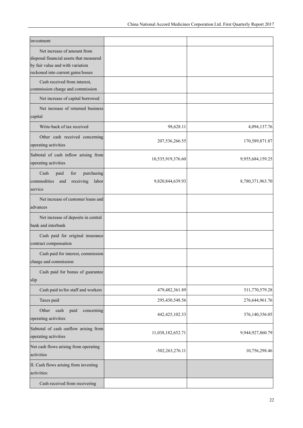| investment                                                                                                                                       |                   |                  |
|--------------------------------------------------------------------------------------------------------------------------------------------------|-------------------|------------------|
| Net increase of amount from<br>disposal financial assets that measured<br>by fair value and with variation<br>reckoned into current gains/losses |                   |                  |
| Cash received from interest,<br>commission charge and commission                                                                                 |                   |                  |
| Net increase of capital borrowed                                                                                                                 |                   |                  |
| Net increase of returned business<br>capital                                                                                                     |                   |                  |
| Write-back of tax received                                                                                                                       | 98,628.11         | 4,094,137.76     |
| Other cash received concerning<br>operating activities                                                                                           | 207,536,266.55    | 170,589,871.87   |
| Subtotal of cash inflow arising from<br>operating activities                                                                                     | 10,535,919,376.60 | 9,955,684,159.25 |
| Cash<br>paid<br>for<br>purchasing<br>commodities<br>receiving<br>labor<br>and<br>service                                                         | 9,820,844,639.93  | 8,780,371,963.70 |
| Net increase of customer loans and<br>advances                                                                                                   |                   |                  |
| Net increase of deposits in central<br>bank and interbank                                                                                        |                   |                  |
| Cash paid for original insurance<br>contract compensation                                                                                        |                   |                  |
| Cash paid for interest, commission<br>charge and commission                                                                                      |                   |                  |
| Cash paid for bonus of guarantee<br>slip                                                                                                         |                   |                  |
| Cash paid to/for staff and workers                                                                                                               | 479,482,361.89    | 511,770,579.28   |
| Taxes paid                                                                                                                                       | 295,430,548.56    | 276,644,961.76   |
| paid<br>Other<br>cash<br>concerning<br>operating activities                                                                                      | 442, 425, 102. 33 | 376,140,356.05   |
| Subtotal of cash outflow arising from<br>operating activities                                                                                    | 11,038,182,652.71 | 9,944,927,860.79 |
| Net cash flows arising from operating<br>activities                                                                                              | -502,263,276.11   | 10,756,298.46    |
| II. Cash flows arising from investing<br>activities:                                                                                             |                   |                  |
| Cash received from recovering                                                                                                                    |                   |                  |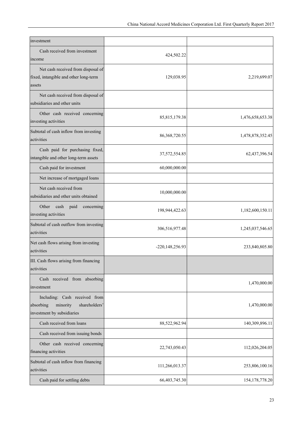| investment                                                                                            |                    |                   |
|-------------------------------------------------------------------------------------------------------|--------------------|-------------------|
| Cash received from investment<br>income                                                               | 424,502.22         |                   |
| Net cash received from disposal of<br>fixed, intangible and other long-term<br>assets                 | 129,038.95         | 2,219,699.07      |
| Net cash received from disposal of<br>subsidiaries and other units                                    |                    |                   |
| Other cash received concerning<br>investing activities                                                | 85, 815, 179.38    | 1,476,658,653.38  |
| Subtotal of cash inflow from investing<br>activities                                                  | 86, 368, 720. 55   | 1,478,878,352.45  |
| Cash paid for purchasing fixed,<br>intangible and other long-term assets                              | 37,572,554.85      | 62,437,396.54     |
| Cash paid for investment                                                                              | 60,000,000.00      |                   |
| Net increase of mortgaged loans                                                                       |                    |                   |
| Net cash received from<br>subsidiaries and other units obtained                                       | 10,000,000.00      |                   |
| Other<br>cash<br>paid<br>concerning<br>investing activities                                           | 198,944,422.63     | 1,182,600,150.11  |
| Subtotal of cash outflow from investing<br>activities                                                 | 306,516,977.48     | 1,245,037,546.65  |
| Net cash flows arising from investing<br>activities                                                   | -220, 148, 256. 93 | 233,840,805.80    |
| III. Cash flows arising from financing<br>activities                                                  |                    |                   |
| Cash received from absorbing<br>investment                                                            |                    | 1,470,000.00      |
| Including: Cash received from<br>absorbing<br>minority<br>shareholders'<br>investment by subsidiaries |                    | 1,470,000.00      |
| Cash received from loans                                                                              | 88,522,962.94      | 140,309,896.11    |
| Cash received from issuing bonds                                                                      |                    |                   |
| Other cash received concerning<br>financing activities                                                | 22,743,050.43      | 112,026,204.05    |
| Subtotal of cash inflow from financing<br>activities                                                  | 111,266,013.37     | 253,806,100.16    |
| Cash paid for settling debts                                                                          | 66,403,745.30      | 154, 178, 778. 20 |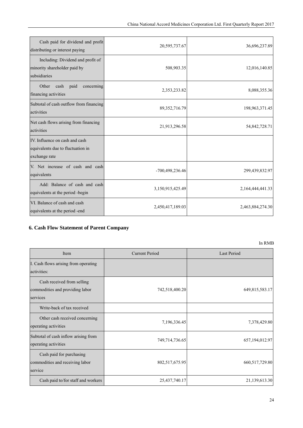| Cash paid for dividend and profit<br>distributing or interest paying                 | 20,595,737.67    | 36,696,237.89    |
|--------------------------------------------------------------------------------------|------------------|------------------|
| Including: Dividend and profit of<br>minority shareholder paid by<br>subsidiaries    | 508,903.35       | 12,016,140.85    |
| Other<br>cash<br>paid<br>concerning<br>financing activities                          | 2,353,233.82     | 8,088,355.36     |
| Subtotal of cash outflow from financing<br>activities                                | 89,352,716.79    | 198,963,371.45   |
| Net cash flows arising from financing<br>activities                                  | 21,913,296.58    | 54,842,728.71    |
| IV. Influence on cash and cash<br>equivalents due to fluctuation in<br>exchange rate |                  |                  |
| V. Net increase of cash and cash<br>equivalents                                      | -700,498,236.46  | 299,439,832.97   |
| Add: Balance of cash and cash<br>equivalents at the period -begin                    | 3,150,915,425.49 | 2,164,444,441.33 |
| VI. Balance of cash and cash<br>equivalents at the period -end                       | 2,450,417,189.03 | 2,463,884,274.30 |

## **6. Cash Flow Statement of Parent Company**

| Item                                 | <b>Current Period</b> | <b>Last Period</b> |
|--------------------------------------|-----------------------|--------------------|
| I. Cash flows arising from operating |                       |                    |
| activities:                          |                       |                    |
| Cash received from selling           |                       |                    |
| commodities and providing labor      | 742,518,400.20        | 649,815,583.17     |
| services                             |                       |                    |
| Write-back of tax received           |                       |                    |
| Other cash received concerning       |                       | 7,378,429.80       |
| operating activities                 | 7,196,336.45          |                    |
| Subtotal of cash inflow arising from | 749,714,736.65        | 657,194,012.97     |
| operating activities                 |                       |                    |
| Cash paid for purchasing             |                       |                    |
| commodities and receiving labor      | 802,517,675.95        | 660,517,729.80     |
| service                              |                       |                    |
| Cash paid to/for staff and workers   | 25,437,740.17         | 21,139,613.30      |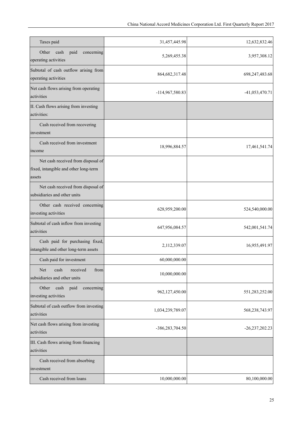| Taxes paid                                                                            | 31,457,445.98     | 12,632,832.46    |
|---------------------------------------------------------------------------------------|-------------------|------------------|
| Other<br>paid<br>concerning<br>cash<br>operating activities                           | 5,269,455.38      | 3,957,308.12     |
| Subtotal of cash outflow arising from<br>operating activities                         | 864, 682, 317. 48 | 698,247,483.68   |
| Net cash flows arising from operating<br>activities                                   | -114,967,580.83   | $-41,053,470.71$ |
| II. Cash flows arising from investing<br>activities:                                  |                   |                  |
| Cash received from recovering<br>investment                                           |                   |                  |
| Cash received from investment<br>income                                               | 18,996,884.57     | 17,461,541.74    |
| Net cash received from disposal of<br>fixed, intangible and other long-term<br>assets |                   |                  |
| Net cash received from disposal of<br>subsidiaries and other units                    |                   |                  |
| Other cash received concerning<br>investing activities                                | 628,959,200.00    | 524,540,000.00   |
| Subtotal of cash inflow from investing<br>activities                                  | 647,956,084.57    | 542,001,541.74   |
| Cash paid for purchasing fixed,<br>intangible and other long-term assets              | 2,112,339.07      | 16,955,491.97    |
| Cash paid for investment                                                              | 60,000,000.00     |                  |
| received<br>Net<br>cash<br>from<br>subsidiaries and other units                       | 10,000,000.00     |                  |
| Other<br>cash<br>paid<br>concerning<br>investing activities                           | 962,127,450.00    | 551,283,252.00   |
| Subtotal of cash outflow from investing<br>activities                                 | 1,034,239,789.07  | 568,238,743.97   |
| Net cash flows arising from investing<br>activities                                   | -386,283,704.50   | $-26,237,202.23$ |
| III. Cash flows arising from financing<br>activities                                  |                   |                  |
| Cash received from absorbing<br>investment                                            |                   |                  |
| Cash received from loans                                                              | 10,000,000.00     | 80,100,000.00    |